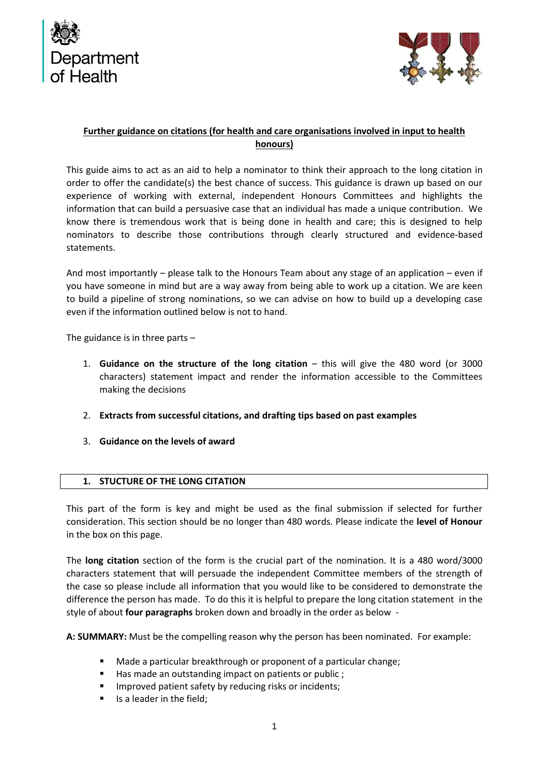



## **Further guidance on citations (for health and care organisations involved in input to health honours)**

This guide aims to act as an aid to help a nominator to think their approach to the long citation in order to offer the candidate(s) the best chance of success. This guidance is drawn up based on our experience of working with external, independent Honours Committees and highlights the information that can build a persuasive case that an individual has made a unique contribution. We know there is tremendous work that is being done in health and care; this is designed to help nominators to describe those contributions through clearly structured and evidence-based statements.

And most importantly – please talk to the Honours Team about any stage of an application – even if you have someone in mind but are a way away from being able to work up a citation. We are keen to build a pipeline of strong nominations, so we can advise on how to build up a developing case even if the information outlined below is not to hand.

The guidance is in three parts –

- 1. **Guidance on the structure of the long citation** this will give the 480 word (or 3000 characters) statement impact and render the information accessible to the Committees making the decisions
- 2. **Extracts from successful citations, and drafting tips based on past examples**
- 3. **Guidance on the levels of award**

#### **1. STUCTURE OF THE LONG CITATION**

This part of the form is key and might be used as the final submission if selected for further consideration. This section should be no longer than 480 words. Please indicate the **level of Honour** in the box on this page.

The **long citation** section of the form is the crucial part of the nomination. It is a 480 word/3000 characters statement that will persuade the independent Committee members of the strength of the case so please include all information that you would like to be considered to demonstrate the difference the person has made. To do this it is helpful to prepare the long citation statement in the style of about **four paragraphs** broken down and broadly in the order as below -

**A: SUMMARY:** Must be the compelling reason why the person has been nominated. For example:

- Made a particular breakthrough or proponent of a particular change;
- Has made an outstanding impact on patients or public ;
- Improved patient safety by reducing risks or incidents;
- Is a leader in the field;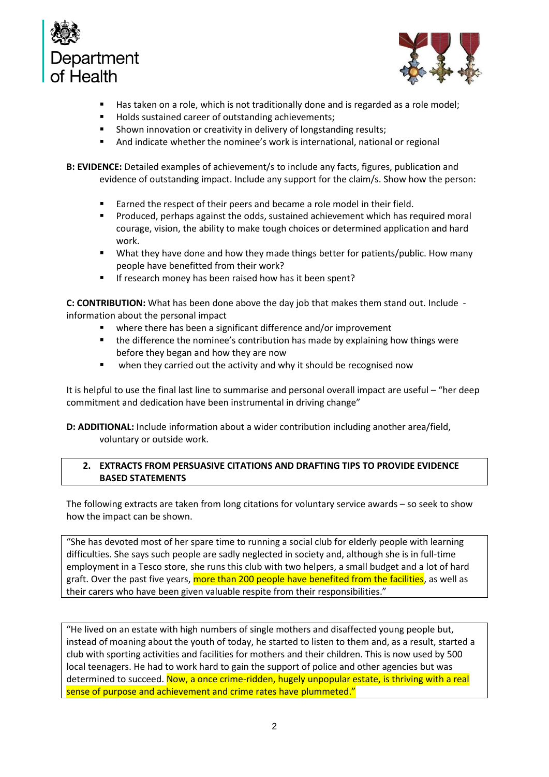



- Has taken on a role, which is not traditionally done and is regarded as a role model;
- Holds sustained career of outstanding achievements;
- Shown innovation or creativity in delivery of longstanding results;
- And indicate whether the nominee's work is international, national or regional

**B: EVIDENCE:** Detailed examples of achievement/s to include any facts, figures, publication and evidence of outstanding impact. Include any support for the claim/s. Show how the person:

- Earned the respect of their peers and became a role model in their field.
- Produced, perhaps against the odds, sustained achievement which has required moral courage, vision, the ability to make tough choices or determined application and hard work.
- What they have done and how they made things better for patients/public. How many people have benefitted from their work?
- If research money has been raised how has it been spent?

**C: CONTRIBUTION:** What has been done above the day job that makes them stand out. Include information about the personal impact

- where there has been a significant difference and/or improvement
- the difference the nominee's contribution has made by explaining how things were before they began and how they are now
- when they carried out the activity and why it should be recognised now

It is helpful to use the final last line to summarise and personal overall impact are useful – "her deep commitment and dedication have been instrumental in driving change"

**D: ADDITIONAL:** Include information about a wider contribution including another area/field, voluntary or outside work.

## **2. EXTRACTS FROM PERSUASIVE CITATIONS AND DRAFTING TIPS TO PROVIDE EVIDENCE BASED STATEMENTS**

The following extracts are taken from long citations for voluntary service awards – so seek to show how the impact can be shown.

"She has devoted most of her spare time to running a social club for elderly people with learning difficulties. She says such people are sadly neglected in society and, although she is in full-time employment in a Tesco store, she runs this club with two helpers, a small budget and a lot of hard graft. Over the past five years, more than 200 people have benefited from the facilities, as well as their carers who have been given valuable respite from their responsibilities."

"He lived on an estate with high numbers of single mothers and disaffected young people but, instead of moaning about the youth of today, he started to listen to them and, as a result, started a club with sporting activities and facilities for mothers and their children. This is now used by 500 local teenagers. He had to work hard to gain the support of police and other agencies but was determined to succeed. Now, a once crime-ridden, hugely unpopular estate, is thriving with a real sense of purpose and achievement and crime rates have plummeted."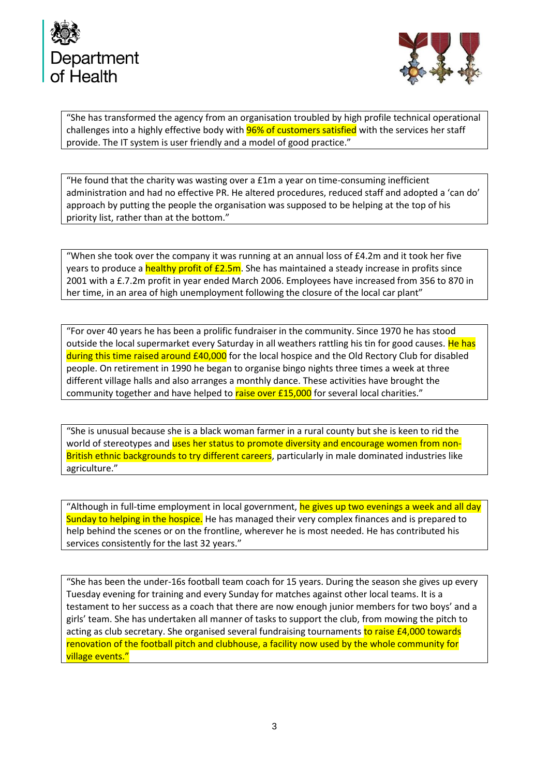



"She has transformed the agency from an organisation troubled by high profile technical operational challenges into a highly effective body with **96% of customers satisfied** with the services her staff provide. The IT system is user friendly and a model of good practice."

"He found that the charity was wasting over a  $£1m$  a year on time-consuming inefficient administration and had no effective PR. He altered procedures, reduced staff and adopted a 'can do' approach by putting the people the organisation was supposed to be helping at the top of his priority list, rather than at the bottom."

"When she took over the company it was running at an annual loss of  $E4.2m$  and it took her five years to produce a healthy profit of  $E2.5m$ . She has maintained a steady increase in profits since 2001 with a £.7.2m profit in year ended March 2006. Employees have increased from 356 to 870 in her time, in an area of high unemployment following the closure of the local car plant"

"For over 40 years he has been a prolific fundraiser in the community. Since 1970 he has stood outside the local supermarket every Saturday in all weathers rattling his tin for good causes. He has during this time raised around £40,000 for the local hospice and the Old Rectory Club for disabled people. On retirement in 1990 he began to organise bingo nights three times a week at three different village halls and also arranges a monthly dance. These activities have brought the community together and have helped to raise over £15,000 for several local charities."

"She is unusual because she is a black woman farmer in a rural county but she is keen to rid the world of stereotypes and uses her status to promote diversity and encourage women from non-British ethnic backgrounds to try different careers, particularly in male dominated industries like agriculture."

"Although in full-time employment in local government, he gives up two evenings a week and all day Sunday to helping in the hospice. He has managed their very complex finances and is prepared to help behind the scenes or on the frontline, wherever he is most needed. He has contributed his services consistently for the last 32 years."

"She has been the under-16s football team coach for 15 years. During the season she gives up every Tuesday evening for training and every Sunday for matches against other local teams. It is a testament to her success as a coach that there are now enough junior members for two boys' and a girls' team. She has undertaken all manner of tasks to support the club, from mowing the pitch to acting as club secretary. She organised several fundraising tournaments to raise £4,000 towards renovation of the football pitch and clubhouse, a facility now used by the whole community for village events."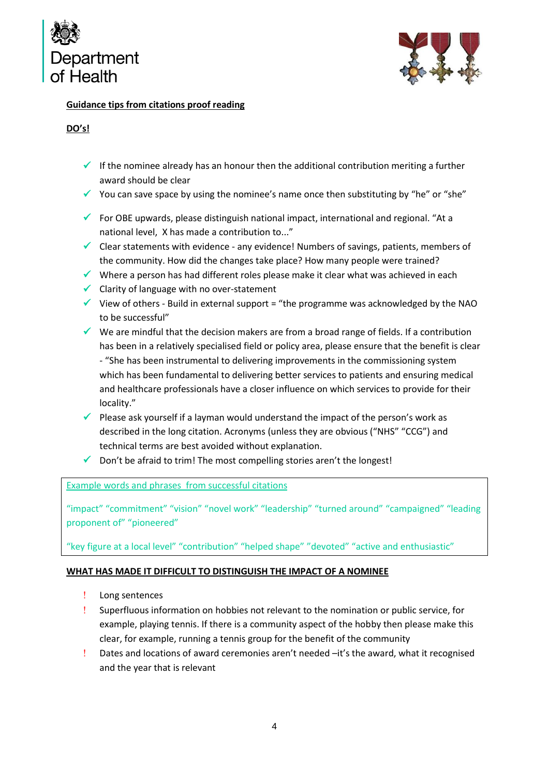



## **Guidance tips from citations proof reading**

# **DO's!**

- $\checkmark$  If the nominee already has an honour then the additional contribution meriting a further award should be clear
- ✓ You can save space by using the nominee's name once then substituting by "he" or "she"
- $\checkmark$  For OBE upwards, please distinguish national impact, international and regional. "At a national level, X has made a contribution to..."
- ✓ Clear statements with evidence any evidence! Numbers of savings, patients, members of the community. How did the changes take place? How many people were trained?
- $\checkmark$  Where a person has had different roles please make it clear what was achieved in each
- ✓ Clarity of language with no over-statement
- $\checkmark$  View of others Build in external support = "the programme was acknowledged by the NAO to be successful"
- ✓ We are mindful that the decision makers are from a broad range of fields. If a contribution has been in a relatively specialised field or policy area, please ensure that the benefit is clear - "She has been instrumental to delivering improvements in the commissioning system which has been fundamental to delivering better services to patients and ensuring medical and healthcare professionals have a closer influence on which services to provide for their locality."
- $\checkmark$  Please ask yourself if a layman would understand the impact of the person's work as described in the long citation. Acronyms (unless they are obvious ("NHS" "CCG") and technical terms are best avoided without explanation.
- $\checkmark$  Don't be afraid to trim! The most compelling stories aren't the longest!

Example words and phrases from successful citations

"impact" "commitment" "vision" "novel work" "leadership" "turned around" "campaigned" "leading proponent of" "pioneered"

"key figure at a local level" "contribution" "helped shape" "devoted" "active and enthusiastic"

## **WHAT HAS MADE IT DIFFICULT TO DISTINGUISH THE IMPACT OF A NOMINEE**

- Long sentences
- Superfluous information on hobbies not relevant to the nomination or public service, for example, playing tennis. If there is a community aspect of the hobby then please make this clear, for example, running a tennis group for the benefit of the community
- Dates and locations of award ceremonies aren't needed –it's the award, what it recognised and the year that is relevant